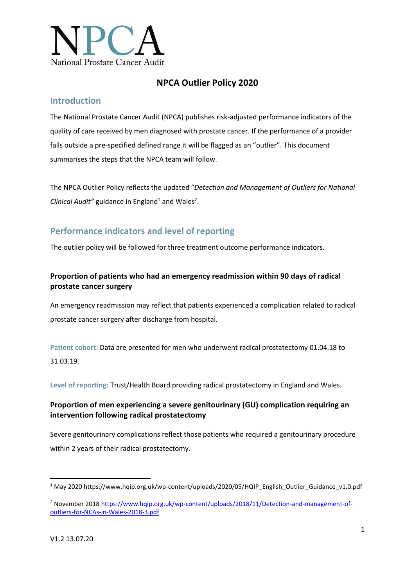

## **NPCA Outlier Policy 2020**

### **Introduction**

The National Prostate Cancer Audit (NPCA) publishes risk-adjusted performance indicators of the quality of care received by men diagnosed with prostate cancer. If the performance of a provider falls outside a pre-specified defined range it will be flagged as an "outlier". This document summarises the steps that the NPCA team will follow.

The NPCA Outlier Policy reflects the updated "*Detection and Management of Outliers for National*  Clinical Audit" guidance in England<sup>1</sup> and Wales<sup>2</sup>.

## **Performance indicators and level of reporting**

The outlier policy will be followed for three treatment outcome performance indicators.

### **Proportion of patients who had an emergency readmission within 90 days of radical prostate cancer surgery**

An emergency readmission may reflect that patients experienced a complication related to radical prostate cancer surgery after discharge from hospital.

**Patient cohort:** Data are presented for men who underwent radical prostatectomy 01.04.18 to 31.03.19.

**Level of reporting:** Trust/Health Board providing radical prostatectomy in England and Wales.

### **Proportion of men experiencing a severe genitourinary (GU) complication requiring an intervention following radical prostatectomy**

Severe genitourinary complications reflect those patients who required a genitourinary procedure within 2 years of their radical prostatectomy.

**.** 

<sup>1</sup> May 2020 https://www.hqip.org.uk/wp-content/uploads/2020/05/HQIP\_English\_Outlier\_Guidance\_v1.0.pdf

<sup>&</sup>lt;sup>2</sup> November 2018 [https://www.hqip.org.uk/wp-content/uploads/2018/11/Detection-and-management-of](https://www.hqip.org.uk/wp-content/uploads/2018/11/Detection-and-management-of-outliers-for-NCAs-in-Wales-2018-3.pdf)[outliers-for-NCAs-in-Wales-2018-3.pdf](https://www.hqip.org.uk/wp-content/uploads/2018/11/Detection-and-management-of-outliers-for-NCAs-in-Wales-2018-3.pdf)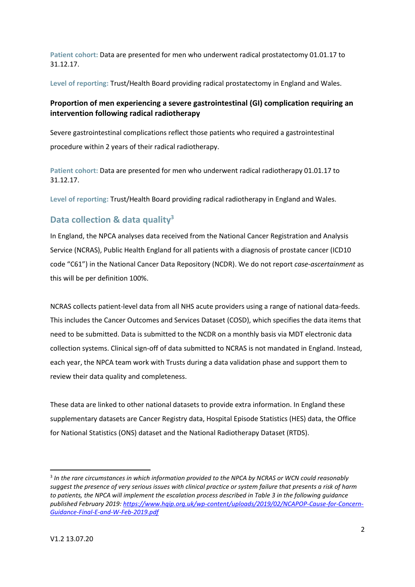**Patient cohort:** Data are presented for men who underwent radical prostatectomy 01.01.17 to 31.12.17.

**Level of reporting:** Trust/Health Board providing radical prostatectomy in England and Wales.

### **Proportion of men experiencing a severe gastrointestinal (GI) complication requiring an intervention following radical radiotherapy**

Severe gastrointestinal complications reflect those patients who required a gastrointestinal procedure within 2 years of their radical radiotherapy.

**Patient cohort:** Data are presented for men who underwent radical radiotherapy 01.01.17 to 31.12.17.

**Level of reporting:** Trust/Health Board providing radical radiotherapy in England and Wales.

## **Data collection & data quality<sup>3</sup>**

In England, the NPCA analyses data received from the National Cancer Registration and Analysis Service (NCRAS), Public Health England for all patients with a diagnosis of prostate cancer (ICD10 code "C61") in the National Cancer Data Repository (NCDR). We do not report *case-ascertainment* as this will be per definition 100%.

NCRAS collects patient-level data from all NHS acute providers using a range of national data-feeds. This includes the Cancer Outcomes and Services Dataset (COSD), which specifies the data items that need to be submitted. Data is submitted to the NCDR on a monthly basis via MDT electronic data collection systems. Clinical sign-off of data submitted to NCRAS is not mandated in England. Instead, each year, the NPCA team work with Trusts during a data validation phase and support them to review their data quality and completeness.

These data are linked to other national datasets to provide extra information. In England these supplementary datasets are Cancer Registry data, Hospital Episode Statistics (HES) data, the Office for National Statistics (ONS) dataset and the National Radiotherapy Dataset (RTDS).

1

<sup>3</sup> *In the rare circumstances in which information provided to the NPCA by NCRAS or WCN could reasonably suggest the presence of very serious issues with clinical practice or system failure that presents a risk of harm to patients, the NPCA will implement the escalation process described in Table 3 in the following guidance published February 2019: [https://www.hqip.org.uk/wp-content/uploads/2019/02/NCAPOP-Cause-for-Concern-](https://www.hqip.org.uk/wp-content/uploads/2019/02/NCAPOP-Cause-for-Concern-Guidance-Final-E-and-W-Feb-2019.pdf)[Guidance-Final-E-and-W-Feb-2019.pdf](https://www.hqip.org.uk/wp-content/uploads/2019/02/NCAPOP-Cause-for-Concern-Guidance-Final-E-and-W-Feb-2019.pdf)*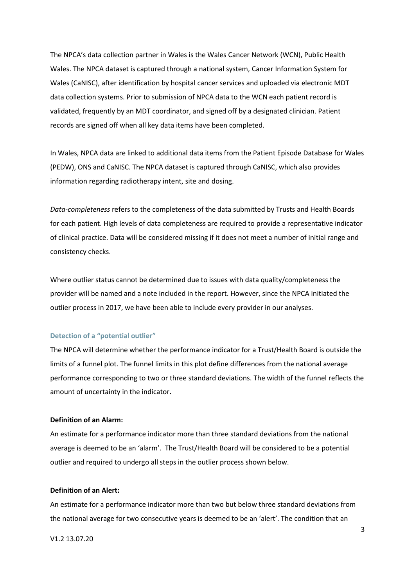The NPCA's data collection partner in Wales is the Wales Cancer Network (WCN), Public Health Wales. The NPCA dataset is captured through a national system, Cancer Information System for Wales (CaNISC), after identification by hospital cancer services and uploaded via electronic MDT data collection systems. Prior to submission of NPCA data to the WCN each patient record is validated, frequently by an MDT coordinator, and signed off by a designated clinician. Patient records are signed off when all key data items have been completed.

In Wales, NPCA data are linked to additional data items from the Patient Episode Database for Wales (PEDW), ONS and CaNISC. The NPCA dataset is captured through CaNISC, which also provides information regarding radiotherapy intent, site and dosing.

*Data-completeness* refers to the completeness of the data submitted by Trusts and Health Boards for each patient. High levels of data completeness are required to provide a representative indicator of clinical practice. Data will be considered missing if it does not meet a number of initial range and consistency checks.

Where outlier status cannot be determined due to issues with data quality/completeness the provider will be named and a note included in the report. However, since the NPCA initiated the outlier process in 2017, we have been able to include every provider in our analyses.

#### **Detection of a "potential outlier"**

The NPCA will determine whether the performance indicator for a Trust/Health Board is outside the limits of a funnel plot. The funnel limits in this plot define differences from the national average performance corresponding to two or three standard deviations. The width of the funnel reflects the amount of uncertainty in the indicator.

#### **Definition of an Alarm:**

An estimate for a performance indicator more than three standard deviations from the national average is deemed to be an 'alarm'. The Trust/Health Board will be considered to be a potential outlier and required to undergo all steps in the outlier process shown below.

#### **Definition of an Alert:**

An estimate for a performance indicator more than two but below three standard deviations from the national average for two consecutive years is deemed to be an 'alert'. The condition that an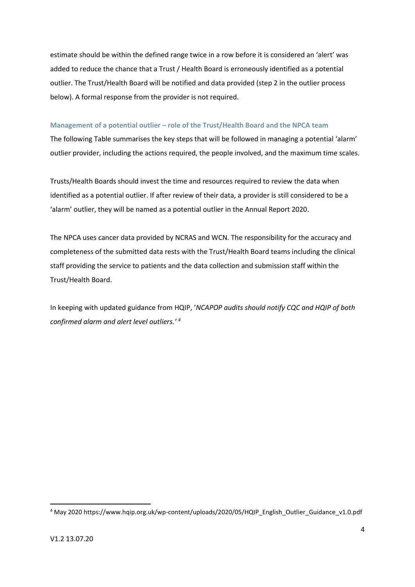estimate should be within the defined range twice in a row before it is considered an 'alert' was added to reduce the chance that a Trust / Health Board is erroneously identified as a potential outlier. The Trust/Health Board will be notified and data provided (step 2 in the outlier process below). A formal response from the provider is not required.

#### **Management of a potential outlier – role of the Trust/Health Board and the NPCA team**

The following Table summarises the key steps that will be followed in managing a potential 'alarm' outlier provider, including the actions required, the people involved, and the maximum time scales.

Trusts/Health Boards should invest the time and resources required to review the data when identified as a potential outlier. If after review of their data, a provider is still considered to be a 'alarm' outlier, they will be named as a potential outlier in the Annual Report 2020.

The NPCA uses cancer data provided by NCRAS and WCN. The responsibility for the accuracy and completeness of the submitted data rests with the Trust/Health Board teams including the clinical staff providing the service to patients and the data collection and submission staff within the Trust/Health Board.

In keeping with updated guidance from HQIP, '*NCAPOP audits should notify CQC and HQIP of both confirmed alarm and alert level outliers.' 4*

**<sup>.</sup>** <sup>4</sup> May 2020 https://www.hqip.org.uk/wp-content/uploads/2020/05/HQIP\_English\_Outlier\_Guidance\_v1.0.pdf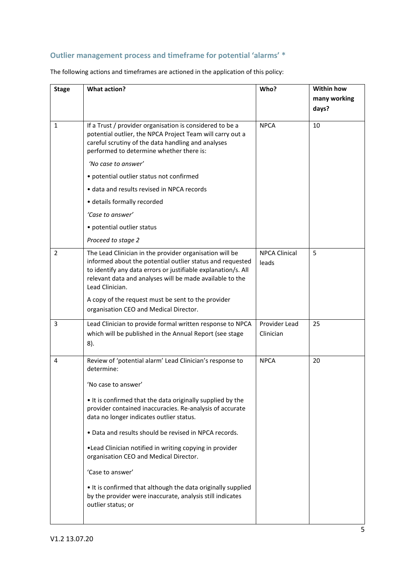# **Outlier management process and timeframe for potential 'alarms' \***

| <b>Stage</b>   | <b>What action?</b>                                                                                                                                                                                                                                                  | Who?                          | <b>Within how</b> |
|----------------|----------------------------------------------------------------------------------------------------------------------------------------------------------------------------------------------------------------------------------------------------------------------|-------------------------------|-------------------|
|                |                                                                                                                                                                                                                                                                      |                               | many working      |
|                |                                                                                                                                                                                                                                                                      |                               | days?             |
| 1              | If a Trust / provider organisation is considered to be a<br>potential outlier, the NPCA Project Team will carry out a<br>careful scrutiny of the data handling and analyses<br>performed to determine whether there is:                                              | <b>NPCA</b>                   | 10                |
|                | 'No case to answer'                                                                                                                                                                                                                                                  |                               |                   |
|                | • potential outlier status not confirmed                                                                                                                                                                                                                             |                               |                   |
|                | · data and results revised in NPCA records                                                                                                                                                                                                                           |                               |                   |
|                | · details formally recorded                                                                                                                                                                                                                                          |                               |                   |
|                | 'Case to answer'                                                                                                                                                                                                                                                     |                               |                   |
|                | • potential outlier status                                                                                                                                                                                                                                           |                               |                   |
|                | Proceed to stage 2                                                                                                                                                                                                                                                   |                               |                   |
| $\overline{2}$ | The Lead Clinician in the provider organisation will be<br>informed about the potential outlier status and requested<br>to identify any data errors or justifiable explanation/s. All<br>relevant data and analyses will be made available to the<br>Lead Clinician. | <b>NPCA Clinical</b><br>leads | 5                 |
|                | A copy of the request must be sent to the provider<br>organisation CEO and Medical Director.                                                                                                                                                                         |                               |                   |
| 3              | Lead Clinician to provide formal written response to NPCA<br>which will be published in the Annual Report (see stage<br>$8$ ).                                                                                                                                       | Provider Lead<br>Clinician    | 25                |
| 4              | Review of 'potential alarm' Lead Clinician's response to<br>determine:                                                                                                                                                                                               | <b>NPCA</b>                   | 20                |
|                | 'No case to answer'                                                                                                                                                                                                                                                  |                               |                   |
|                | . It is confirmed that the data originally supplied by the<br>provider contained inaccuracies. Re-analysis of accurate<br>data no longer indicates outlier status.                                                                                                   |                               |                   |
|                | . Data and results should be revised in NPCA records.                                                                                                                                                                                                                |                               |                   |
|                | . Lead Clinician notified in writing copying in provider<br>organisation CEO and Medical Director.                                                                                                                                                                   |                               |                   |
|                | 'Case to answer'                                                                                                                                                                                                                                                     |                               |                   |
|                | • It is confirmed that although the data originally supplied<br>by the provider were inaccurate, analysis still indicates<br>outlier status; or                                                                                                                      |                               |                   |
|                |                                                                                                                                                                                                                                                                      |                               |                   |

The following actions and timeframes are actioned in the application of this policy: